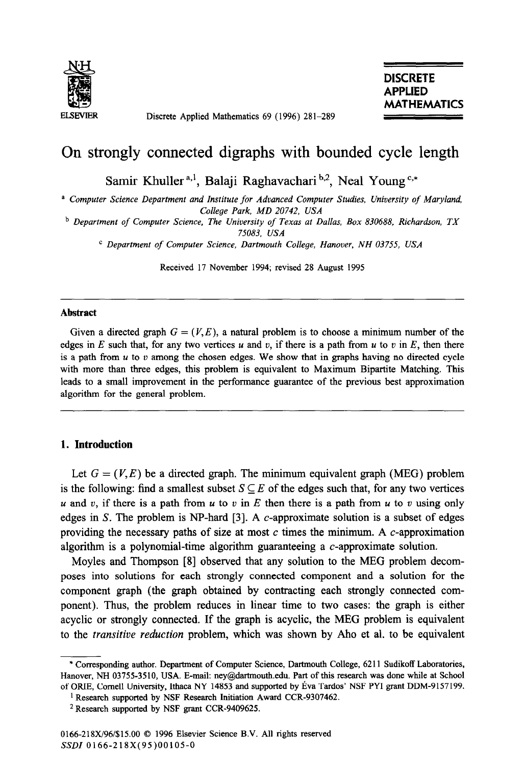

Discrete Applied Mathematics 69 (1996) 281-289

# On strongly connected digraphs with bounded cycle length

Samir Khuller<sup>a,1</sup>, Balaji Raghavachari <sup>b,2</sup>, Neal Young<sup>c,\*</sup>

a *Computer Science Department and Institute for Advanced Computer Studies, University of Maryland, College Park, MD 20742, USA* 

*b Department of Computer Science, The University of Texas at Dallas, Box 830688, Richardson, TX 75083, USA* 

*' Department of Computer Science, Dartmouth College, Hanover, NH 03755, USA* 

Received 17 November 1994; revised 28 August 1995

### **Abstract**

Given a directed graph  $G = (V, E)$ , a natural problem is to choose a minimum number of the edges in *E* such that, for any two vertices u and v, if there is a path from u to v in *E*, then there is a path from  $u$  to  $v$  among the chosen edges. We show that in graphs having no directed cycle with more than three edges, this problem is equivalent to Maximum Bipartite Matching. This leads to a small improvement in the performance guarantee of the previous best approximation algorithm for the general problem.

### **1. Introduction**

Let  $G = (V, E)$  be a directed graph. The minimum equivalent graph (MEG) problem is the following: find a smallest subset  $S \subseteq E$  of the edges such that, for any two vertices u and v, if there is a path from u to v in  $E$  then there is a path from u to v using only edges in  $S$ . The problem is NP-hard  $[3]$ . A c-approximate solution is a subset of edges providing the necessary paths of size at most  $c$  times the minimum. A  $c$ -approximation algorithm is a polynomial-time algorithm guaranteeing a c-approximate solution.

Moyles and Thompson [8] observed that any solution to the MEG problem decomposes into solutions for each strongly connected component and a solution for the component graph (the graph obtained by contracting each strongly connected component). Thus, the problem reduces in linear time to two cases: the graph is either acyclic or strongly connected. If the graph is acyclic, the MEG problem is equivalent to the *transitive reduction* problem, which was shown by Aho et al. to be equivalent

<sup>\*</sup> Corresponding author. Department of Computer Science, Dartmouth College, 6211 Sudikoff Laboratories, Hanover, NH 03755-3510, USA. E-mail: ney@dartmouth.edu. Part of this research was done while at School of ORIE, Cornell University, Ithaca NY 14853 and supported by Éva Tardos' NSF PYI grant DDM-9157199.

<sup>&</sup>lt;sup>1</sup> Research supported by NSF Research Initiation Award CCR-9307462.

<sup>2</sup> Research supported by NSF grant CCR-9409625.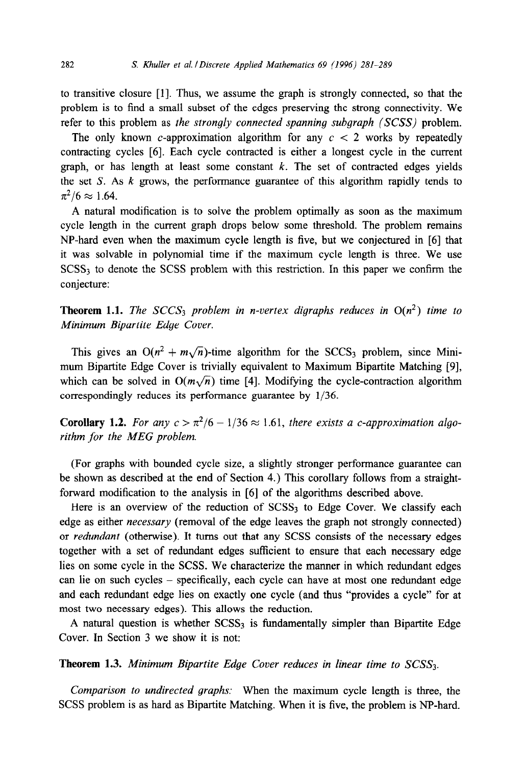to transitive closure [l]. Thus, we assume the graph is strongly connected, so that the problem is to find a small subset of the edges preserving the strong connectivity. We refer to this problem as *the strongly connected spanning subgraph (SCSS)* problem.

The only known c-approximation algorithm for any  $c < 2$  works by repeatedly contracting cycles [6]. Each cycle contracted is either a longest cycle in the current graph, or has length at least some constant *k. The* set of contracted edges yields the set S. As *k grows,* the performance guarantee of this algorithm rapidly tends to  $\pi^2/6 \approx 1.64$ .

A natural modification is to solve the problem optimally as soon as the maximum cycle length in the current graph drops below some threshold. The problem remains NP-hard even when the maximum cycle length is five, but we conjectured in [6] that it was solvable in polynomial time if the maximum cycle length is three. We use  $SCSS<sub>3</sub>$  to denote the SCSS problem with this restriction. In this paper we confirm the conjecture:

**Theorem 1.1.** *The SCCS*<sub>3</sub> *problem in n-vertex digraphs reduces in*  $O(n^2)$  *time to Minimum Bipartite Edge Cover.* 

This gives an  $O(n^2 + m\sqrt{n})$ -time algorithm for the SCCS<sub>3</sub> problem, since Minimum Bipartite Edge Cover is trivially equivalent to Maximum Bipartite Matching [9], which can be solved in  $O(m\sqrt{n})$  time [4]. Modifying the cycle-contraction algorithm correspondingly reduces its performance guarantee by l/36.

**Corollary 1.2.** For any  $c > \pi^2/6 - 1/36 \approx 1.61$ , there exists a c-approximation algo*rithm for the MEG problem.* 

(For graphs with bounded cycle size, a slightly stronger performance guarantee can be shown as described at the end of Section 4.) This corollary follows from a straightforward modification to the analysis in [6] of the algorithms described above.

Here is an overview of the reduction of  $SCSS<sub>3</sub>$  to Edge Cover. We classify each edge as either *necessary* (removal of the edge leaves the graph not strongly connected) or *redundant* (otherwise). It turns out that any SCSS consists of the necessary edges together with a set of redundant edges sufficient to ensure that each necessary edge lies on some cycle in the SCSS. We characterize the manner in which redundant edges can lie on such cycles - specifically, each cycle can have at most one redundant edge and each redundant edge lies on exactly one cycle (and thus "provides a cycle" for at most two necessary edges). This allows the reduction.

A natural question is whether  $SCSS<sub>3</sub>$  is fundamentally simpler than Bipartite Edge Cover. In Section 3 we show it is not:

**Theorem 1.3.** *Minimum Bipartite Edge Cover reduces in linear time to SCS&.* 

*Comparison to undirected graphs:* When the maximum cycle length is three, the SCSS problem is as hard as Bipartite Matching. When it is five, the problem is NP-hard.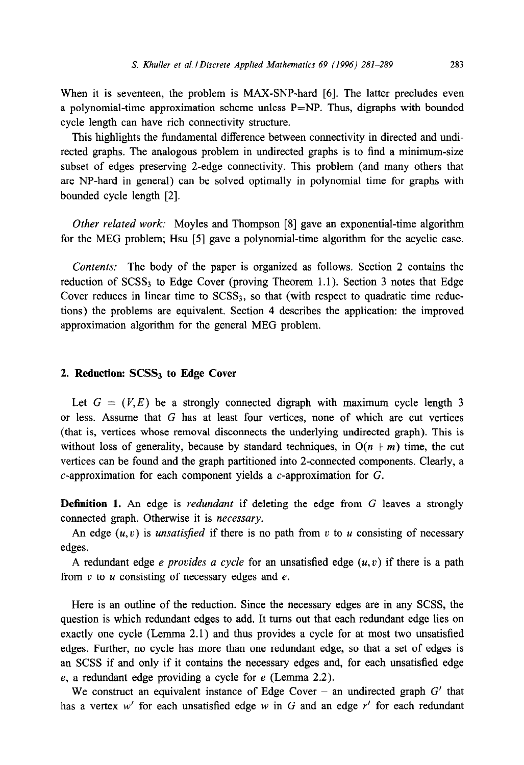When it is seventeen, the problem is MAX-SNP-hard [6]. The latter precludes even a polynomial-time approximation scheme unless P=NP. Thus, digraphs with bounded cycle length can have rich connectivity structure.

This highlights the fundamental difference between connectivity in directed and undirected graphs. The analogous problem in undirected graphs is to find a minimum-size subset of edges preserving 2-edge connectivity. This problem (and many others that are NP-hard in general) can be solved optimally in polynomial time for graphs with bounded cycle length [2].

*Other related work:* Moyles and Thompson [8] gave an exponential-time algorithm for the MEG problem; Hsu [5] gave a polynomial-time algorithm for the acyclic case.

*Contents:* The body of the paper is organized as follows. Section 2 contains the reduction of  $SCSS<sub>3</sub>$  to Edge Cover (proving Theorem 1.1). Section 3 notes that Edge Cover reduces in linear time to  $SCSS<sub>3</sub>$ , so that (with respect to quadratic time reductions) the problems are equivalent. Section 4 describes the application: the improved approximation algorithm for the general MEG problem.

# 2. **Reduction: SCSS<sub>3</sub> to Edge Cover**

Let  $G = (V, E)$  be a strongly connected digraph with maximum cycle length 3 or less. Assume that  $G$  has at least four vertices, none of which are cut vertices (that is, vertices whose removal disconnects the underlying undirected graph). This is without loss of generality, because by standard techniques, in  $O(n + m)$  time, the cut vertices can be found and the graph partitioned into 2-connected components. Clearly, a c-approximation for each component yields a c-approximation for G.

**Definition 1. An** edge is *redundant* if deleting the edge from G leaves a strongly connected graph. Otherwise it is *necessary.* 

An edge  $(u, v)$  is *unsatisfied* if there is no path from v to u consisting of necessary edges.

A redundant edge *e provides a cycle* for an unsatisfied edge  $(u, v)$  if there is a path from  $v$  to  $u$  consisting of necessary edges and  $e$ .

Here is an outline of the reduction. Since the necessary edges are in any SCSS, the question is which redundant edges to add. It turns out that each redundant edge lies on exactly one cycle (Lemma 2.1) and thus provides a cycle for at most two unsatisfied edges. Further, no cycle has more than one redundant edge, so that a set of edges is an SCSS if and only if it contains the necessary edges and, for each unsatisfied edge e, a redundant edge providing a cycle for e (Lemma 2.2).

We construct an equivalent instance of Edge Cover – an undirected graph  $G'$  that has a vertex w' for each unsatisfied edge w in G and an edge *r'* for each redundant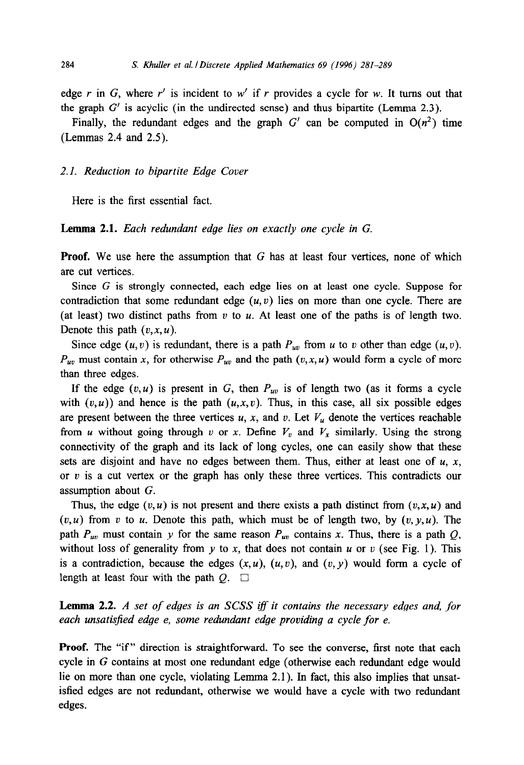edge r in G, where  $r'$  is incident to w' if r provides a cycle for w. It turns out that the graph  $G'$  is acyclic (in the undirected sense) and thus bipartite (Lemma 2.3).

Finally, the redundant edges and the graph  $G'$  can be computed in  $O(n^2)$  time (Lemmas 2.4 and 2.5).

### 2.1. *Reduction to bipartite Edge Cover*

Here is the first essential fact.

Lemma 2.1. *Each redundant edge lies on exactly one cycle in G.* 

**Proof.** We use here the assumption that  $G$  has at least four vertices, none of which are cut vertices.

Since G is strongly connected, each edge lies on at least one cycle. Suppose for contradiction that some redundant edge  $(u, v)$  lies on more than one cycle. There are (at least) two distinct paths from  $v$  to  $u$ . At least one of the paths is of length two. Denote this path  $(v, x, u)$ .

Since edge  $(u, v)$  is redundant, there is a path  $P_{uv}$  from u to v other than edge  $(u, v)$ .  $P_{uv}$  must contain x, for otherwise  $P_{uv}$  and the path  $(v, x, u)$  would form a cycle of more than three edges.

If the edge  $(v, u)$  is present in G, then  $P_{uv}$  is of length two (as it forms a cycle with  $(v, u)$  and hence is the path  $(u, x, v)$ . Thus, in this case, all six possible edges are present between the three vertices u, x, and v. Let  $V_u$  denote the vertices reachable from u without going through v or x. Define  $V_v$  and  $V_x$  similarly. Using the strong connectivity of the graph and its lack of long cycles, one can easily show that these sets are disjoint and have no edges between them. Thus, either at least one of  $u$ ,  $x$ , or  $v$  is a cut vertex or the graph has only these three vertices. This contradicts our assumption about G.

Thus, the edge  $(v, u)$  is not present and there exists a path distinct from  $(v, x, u)$  and  $(v, u)$  from v to u. Denote this path, which must be of length two, by  $(v, y, u)$ . The path  $P_{uv}$  must contain y for the same reason  $P_{uv}$  contains x. Thus, there is a path Q, without loss of generality from y to x, that does not contain u or v (see Fig. 1). This is a contradiction, because the edges  $(x, u)$ ,  $(u, v)$ , and  $(v, v)$  would form a cycle of length at least four with the path  $Q$ .  $\Box$ 

**Lemma 2.2.** A set of edges is an SCSS iff it contains the necessary edges and, for *each unsatisfied edge e, some redundant edge providing a cycle for e.* 

Proof. The "if" direction is straightforward. To see the converse, first note that each cycle in G contains at most one redundant edge (otherwise each redundant edge would lie on more than one cycle, violating Lemma 2.1). In fact, this also implies that unsatisfied edges are not redundant, otherwise we would have a cycle with two redundant edges.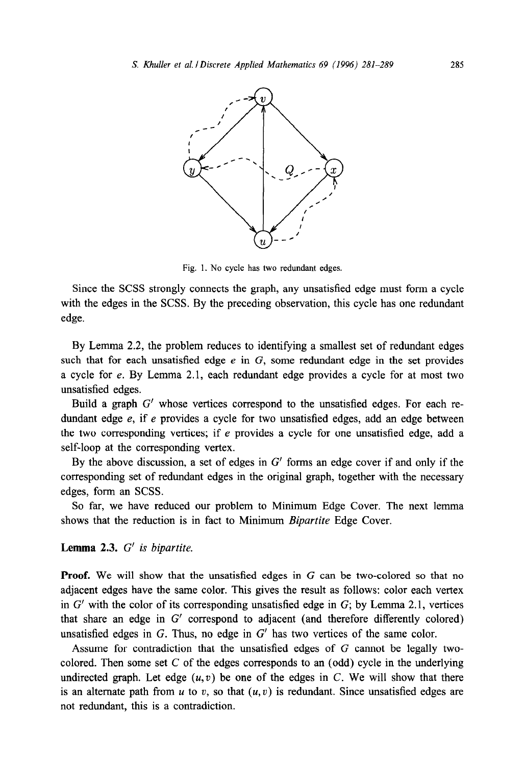

Fig. 1. No cycle has two redundant edges.

Since the SCSS strongly connects the graph, any unsatisfied edge must form a cycle with the edges in the SCSS. By the preceding observation, this cycle has one redundant edge.

By Lemma 2.2, the problem reduces to identifying a smallest set of redundant edges such that for each unsatisfied edge  $e$  in  $G$ , some redundant edge in the set provides a cycle for e. By Lemma 2.1, each redundant edge provides a cycle for at most two unsatisfied edges.

Build a graph  $G'$  whose vertices correspond to the unsatisfied edges. For each redundant edge e, if e provides a cycle for two unsatisfied edges, add an edge between the two corresponding vertices; if  $e$  provides a cycle for one unsatisfied edge, add a self-loop at the corresponding vertex.

By the above discussion, a set of edges in  $G'$  forms an edge cover if and only if the corresponding set of redundant edges in the original graph, together with the necessary edges, form an SCSS.

So far, we have reduced our problem to Minimum Edge Cover. The next lemma shows that the reduction is in fact to Minimum *Bipartite* Edge Cover.

# **Lemma 2.3. G'** *is bipartite.*

**Proof.** We will show that the unsatisfied edges in G can be two-colored so that no adjacent edges have the same color. This gives the result as follows: color each vertex in  $G'$  with the color of its corresponding unsatisfied edge in  $G$ ; by Lemma 2.1, vertices that share an edge in G' correspond to adjacent (and therefore differently colored) unsatisfied edges in  $G$ . Thus, no edge in  $G'$  has two vertices of the same color.

Assume for contradiction that the unsatisfied edges of G cannot be legally twocolored. Then some set C of the edges corresponds to an (odd) cycle in the underlying undirected graph. Let edge  $(u, v)$  be one of the edges in C. We will show that there is an alternate path from u to v, so that  $(u, v)$  is redundant. Since unsatisfied edges are not redundant, this is a contradiction.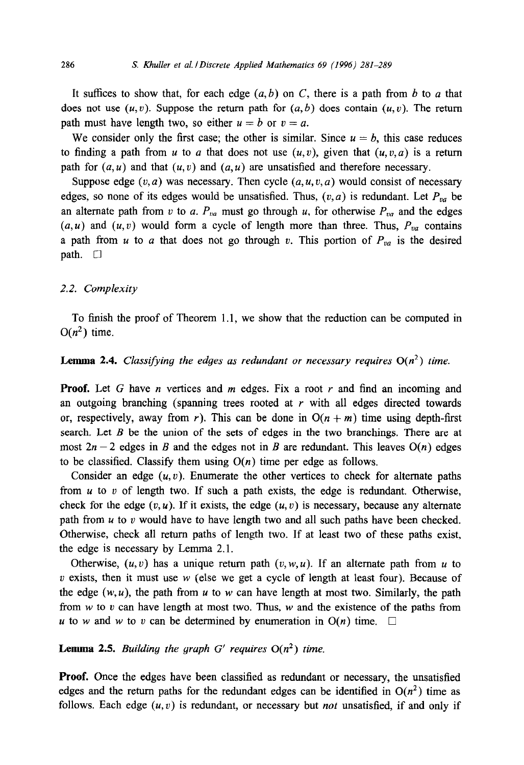It suffices to show that, for each edge *(a,b)* on C, there is a path from *b* to *a* that does not use  $(u, v)$ . Suppose the return path for  $(a, b)$  does contain  $(u, v)$ . The return path must have length two, so either  $u = b$  or  $v = a$ .

We consider only the first case; the other is similar. Since  $u = b$ , this case reduces to finding a path from u to a that does not use  $(u, v)$ , given that  $(u, v, a)$  is a return path for  $(a, u)$  and that  $(u, v)$  and  $(a, u)$  are unsatisfied and therefore necessary.

Suppose edge  $(v, a)$  was necessary. Then cycle  $(a, u, v, a)$  would consist of necessary edges, so none of its edges would be unsatisfied. Thus,  $(v, a)$  is redundant. Let  $P_{va}$  be an alternate path from v to a.  $P_{va}$  must go through u, for otherwise  $P_{va}$  and the edges  $(a, u)$  and  $(u, v)$  would form a cycle of length more than three. Thus,  $P_{va}$  contains a path from  $u$  to  $a$  that does not go through  $v$ . This portion of  $P_{va}$  is the desired path.  $\Box$ 

# 2.2. *Complexity*

To finish the proof of Theorem 1.1, we show that the reduction can be computed in  $O(n^2)$  time.

# **Lemma 2.4.** Classifying the edges as redundant or necessary requires  $O(n^2)$  time.

**Proof.** Let G have *n* vertices and *m* edges. Fix a root *r* and find an incoming and an outgoing branching (spanning trees rooted at *r* with all edges directed towards or, respectively, away from r). This can be done in  $O(n + m)$  time using depth-first search. Let *B* be the union of the sets of edges in the two branchings. There are at most  $2n - 2$  edges in *B* and the edges not in *B* are redundant. This leaves  $O(n)$  edges to be classified. Classify them using  $O(n)$  time per edge as follows.

Consider an edge  $(u, v)$ . Enumerate the other vertices to check for alternate paths from  $u$  to  $v$  of length two. If such a path exists, the edge is redundant. Otherwise, check for the edge  $(v, u)$ . If it exists, the edge  $(u, v)$  is necessary, because any alternate path from  $u$  to  $v$  would have to have length two and all such paths have been checked. Otherwise, check all return paths of length two. If at least two of these paths exist, the edge is necessary by Lemma 2.1.

Otherwise,  $(u, v)$  has a unique return path  $(v, w, u)$ . If an alternate path from u to  $v$  exists, then it must use  $w$  (else we get a cycle of length at least four). Because of the edge  $(w, u)$ , the path from u to w can have length at most two. Similarly, the path from  $w$  to v can have length at most two. Thus, w and the existence of the paths from u to w and w to v can be determined by enumeration in  $O(n)$  time.  $\Box$ 

# **Lemma 2.5.** *Building the graph G' requires*  $O(n^2)$  *time.*

**Proof.** Once the edges have been classified as redundant or necessary, the unsatisfied edges and the return paths for the redundant edges can be identified in  $O(n^2)$  time as follows. Each edge  $(u, v)$  is redundant, or necessary but *not* unsatisfied, if and only if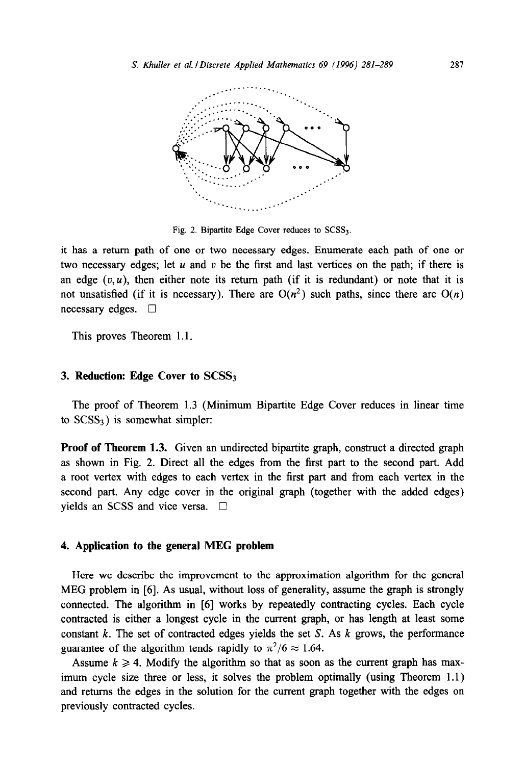

Fig. 2. Bipartite Edge Cover reduces to SCSS<sub>3</sub>.

it has a return path of one or two necessary edges. Enumerate each path of one or two necessary edges; let u and v be the first and last vertices on the path; if there is an edge  $(v, u)$ , then either note its return path (if it is redundant) or note that it is not unsatisfied (if it is necessary). There are  $O(n^2)$  such paths, since there are  $O(n)$ necessary edges.  $\square$ 

This proves Theorem 1.1.

# 3. **Reduction: Edge Cover to SCSS3**

The proof of Theorem 1.3 (Minimum Bipartite Edge Cover reduces in linear time to  $SCSS<sub>3</sub>$ ) is somewhat simpler:

**Proof of Theorem 1.3.** Given an undirected bipartite graph, construct a directed graph as shown in Fig. 2. Direct all the edges from the first part to the second part. Add a root vertex with edges to each vertex in the first part and from each vertex in the second part. Any edge cover in the original graph (together with the added edges) yields an SCSS and vice versa.  $\square$ 

### 4. **Application to the general MEG problem**

Here we describe the improvement to the approximation algorithm for the general MEG problem in [6]. As usual, without loss of generality, assume the graph is strongly connected. The algorithm in [6] works by repeatedly contracting cycles. Each cycle contracted is either a longest cycle in the current graph, or has length at least some constant *k.* The set of contracted edges yields the set S. As *k grows,* the performance guarantee of the algorithm tends rapidly to  $\pi^2/6 \approx 1.64$ .

Assume  $k \geq 4$ . Modify the algorithm so that as soon as the current graph has maximum cycle size three or less, it solves the problem optimally (using Theorem 1.1) and returns the edges in the solution for the current graph together with the edges on previously contracted cycles.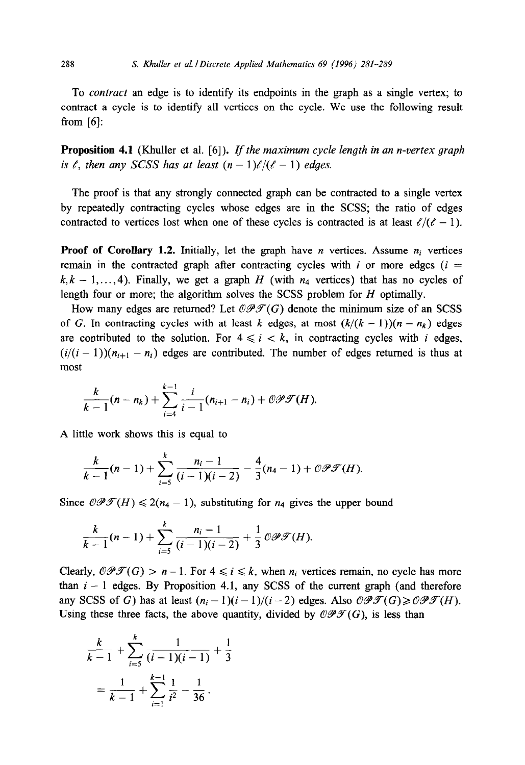To *contract* an edge is to identify its endpoints in the graph as a single vertex; to contract a cycle is to identify all vertices on the cycle. We use the following result from  $[6]$ :

**Proposition 4.1** (Khuller et al. [6]). *If the maximum cycle length in an n-vertex graph is*  $\ell$ *, then any SCSS has at least*  $(n - 1)\ell/(\ell - 1)$  *edges.* 

The proof is that any strongly connected graph can be contracted to a single vertex by repeatedly contracting cycles whose edges are in the SCSS; the ratio of edges contracted to vertices lost when one of these cycles is contracted is at least  $\ell/(\ell-1)$ .

**Proof of Corollary 1.2.** Initially, let the graph have *n* vertices. Assume  $n_i$  vertices remain in the contracted graph after contracting cycles with  $i$  or more edges  $(i =$  $k, k-1, \ldots, 4$ ). Finally, we get a graph *H* (with  $n_4$  vertices) that has no cycles of length four or more; the algorithm solves the SCSS problem for *H* optimally.

How many edges are returned? Let  $\mathcal{OPF}(G)$  denote the minimum size of an SCSS of G. In contracting cycles with at least *k* edges, at most  $(k/(k-1))(n - n_k)$  edges are contributed to the solution. For  $4 \leq i \leq k$ , in contracting cycles with *i* edges,  $(i/(i-1))(n_{i+1} - n_i)$  edges are contributed. The number of edges returned is thus at most

$$
\frac{k}{k-1}(n-n_k) + \sum_{i=4}^{k-1} \frac{i}{i-1}(n_{i+1}-n_i) + \mathcal{OPT}(H).
$$

A little work shows this is equal to

$$
\frac{k}{k-1}(n-1)+\sum_{i=5}^k\frac{n_i-1}{(i-1)(i-2)}-\frac{4}{3}(n_4-1)+\mathcal{OPT}(H).
$$

Since  $\mathcal{OPF}(H) \leq 2(n_4 - 1)$ , substituting for  $n_4$  gives the upper bound

$$
\frac{k}{k-1}(n-1) + \sum_{i=5}^{k} \frac{n_i-1}{(i-1)(i-2)} + \frac{1}{3} \mathcal{OPT}(H).
$$

Clearly,  $\mathcal{OPT}(G) > n-1$ . For  $4 \le i \le k$ , when  $n_i$  vertices remain, no cycle has more than  $i - 1$  edges. By Proposition 4.1, any SCSS of the current graph (and therefore any SCSS of G) has at least  $(n_i - 1)(i - 1)/(i - 2)$  edges. Also  $\mathcal{OPT}(G) \geq \mathcal{OPT}(H)$ . Using these three facts, the above quantity, divided by  $\mathcal{OPF}(G)$ , is less than

$$
\frac{k}{k-1} + \sum_{i=5}^{k} \frac{1}{(i-1)(i-1)} + \frac{1}{3}
$$

$$
= \frac{1}{k-1} + \sum_{i=1}^{k-1} \frac{1}{i^2} - \frac{1}{36}.
$$